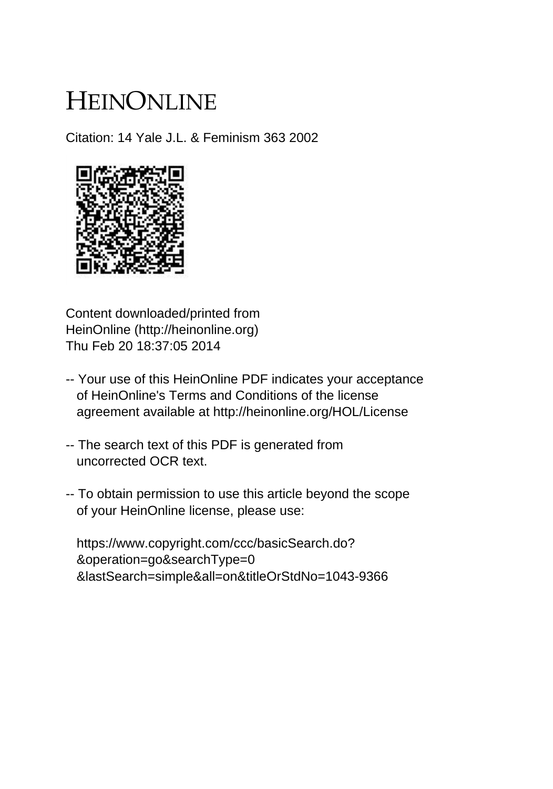# HEINONLINE

Citation: 14 Yale J.L. & Feminism 363 2002



Content downloaded/printed from HeinOnline (http://heinonline.org) Thu Feb 20 18:37:05 2014

- -- Your use of this HeinOnline PDF indicates your acceptance of HeinOnline's Terms and Conditions of the license agreement available at http://heinonline.org/HOL/License
- -- The search text of this PDF is generated from uncorrected OCR text.
- -- To obtain permission to use this article beyond the scope of your HeinOnline license, please use:

 https://www.copyright.com/ccc/basicSearch.do? &operation=go&searchType=0 &lastSearch=simple&all=on&titleOrStdNo=1043-9366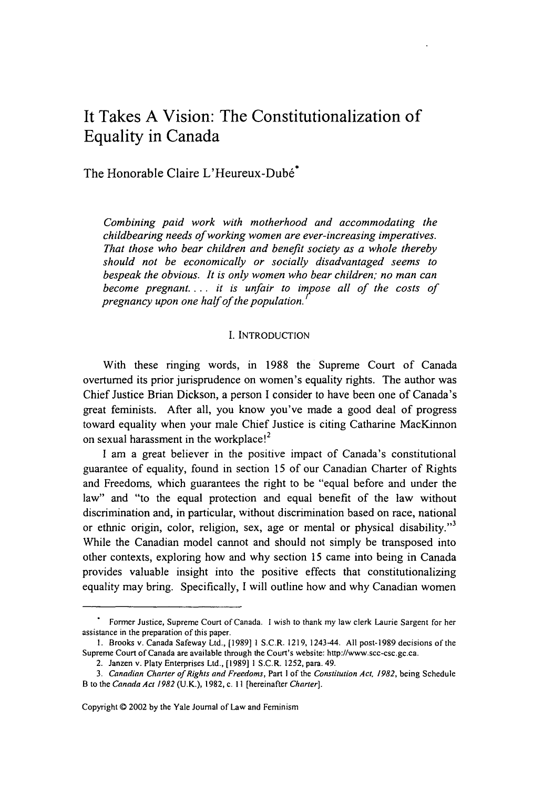## It Takes **A** Vision: The Constitutionalization of Equality in Canada

### The Honorable Claire L'Heureux-Dubé<sup>\*</sup>

*Combining paid work with motherhood and accommodating the childbearing needs of working women are ever-increasing imperatives. That those who bear children and benefit society as a whole thereby should not be economically or socially disadvantaged seems to bespeak the obvious.* It *is only women who bear children; no man can become pregnant.... it is unfair to impose all of the costs of pregnancy upon one half of the population.*

#### I. INTRODUCTION

With these ringing words, in 1988 the Supreme Court of Canada overturned its prior jurisprudence on women's equality rights. The author was Chief Justice Brian Dickson, a person I consider to have been one of Canada's great feminists. After all, you know you've made a good deal of progress toward equality when your male Chief Justice is citing Catharine MacKinnon on sexual harassment in the workplace!<sup>2</sup>

I am a great believer in the positive impact of Canada's constitutional guarantee of equality, found in section 15 of our Canadian Charter of Rights and Freedoms, which guarantees the right to be "equal before and under the law" and "to the equal protection and equal benefit of the law without discrimination and, in particular, without discrimination based on race, national or ethnic origin, color, religion, sex, age or mental or physical disability."3 While the Canadian model cannot and should not simply be transposed into other contexts, exploring how and why section 15 came into being in Canada provides valuable insight into the positive effects that constitutionalizing equality may bring. Specifically, I will outline how and why Canadian women

Former Justice, Supreme Court of Canada. I wish to thank my law clerk Laurie Sargent for her assistance in the preparation of this paper.

**<sup>1.</sup>** Brooks v. Canada Safeway Ltd., [19891 S.C.R. 1219, 1243-44. All post-1989 decisions of the Supreme Court of Canada are available through the Court's website: http://www.scc-csc.gc.ca.

<sup>2.</sup> Janzen v. Platy Enterprises Ltd., [1989]1 S.C.R. 1252, para. 49.

<sup>3.</sup> Canadian Charter of Rights and Freedoms, Part I of the Constitution Act, *1982,* being Schedule B to the Canada Act *1982* (U.K.), 1982, c. **II** [hereinafter Charter].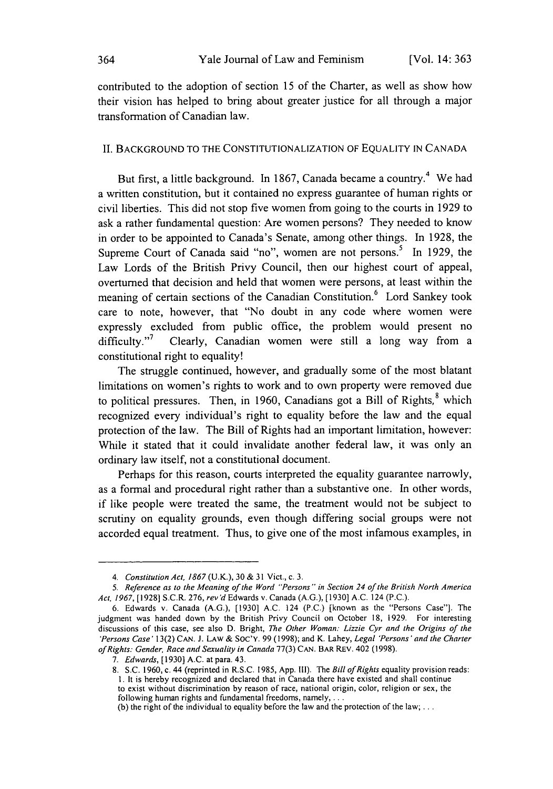contributed to the adoption of section 15 of the Charter, as well as show how their vision has helped to bring about greater justice for all through a major transformation of Canadian law.

#### II. BACKGROUND TO THE CONSTITUTIONALIZATION OF EQUALITY IN CANADA

But first, a little background. In 1867, Canada became a country.<sup>4</sup> We had a written constitution, but it contained no express guarantee of human rights or civil liberties. This did not stop five women from going to the courts in 1929 to ask a rather fundamental question: Are women persons? They needed to know in order to be appointed to Canada's Senate, among other things. In 1928, the Supreme Court of Canada said "no", women are not persons.<sup>5</sup> In 1929, the Law Lords of the British Privy Council, then our highest court of appeal, overturned that decision and held that women were persons, at least within the meaning of certain sections of the Canadian Constitution.<sup>6</sup> Lord Sankey took care to note, however, that "No doubt in any code where women were expressly excluded from public office, the problem would present no  $difficulty."$  Clearly, Canadian women were still a long way from a constitutional right to equality!

The struggle continued, however, and gradually some of the most blatant limitations on women's rights to work and to own property were removed due to political pressures. Then, in 1960, Canadians got a Bill of Rights,<sup>8</sup> which recognized every individual's right to equality before the law and the equal protection of the law. The Bill of Rights had an important limitation, however: While it stated that it could invalidate another federal law, it was only an ordinary law itself, not a constitutional document.

Perhaps for this reason, courts interpreted the equality guarantee narrowly, as a formal and procedural right rather than a substantive one. In other words, if like people were treated the same, the treatment would not be subject to scrutiny on equality grounds, even though differing social groups were not accorded equal treatment. Thus, to give one of the most infamous examples, in

*<sup>4.</sup> Constitution Act, 1867* (U.K.), 30 **&** 31 Vict., c. 3.

<sup>5.</sup> Reference as to the Meaning of the Word "Persons" in Section 24 of the British North America Act, 1967, [19281 S.C.R. 276, rev'd Edwards v. Canada (A.G.), [1930] A.C. 124 (P.C.).

<sup>6.</sup> Edwards v. Canada (A.G.), [1930] **A.C.** 124 (P.C.) [known as the "Persons Case"]. The judgment was handed down by the British Privy Council on October 18, 1929. For interesting discussions of this case, see also D. Bright, The Other Woman: Lizzie Cyr and the Origins of the 'Persons Case' 13(2) **CAN. J.** LAW & **SOC'Y.** 99 (1998); and K. Lahey, Legal 'Persons' and the Charter *ofRights:* Gender, Race and Sexuality in Canada 77(3) CAN. BAR REV. 402 (1998).

<sup>7.</sup> Edwards, 11930] A.C. at para. 43.

<sup>8.</sup> S.C. 1960, c. 44 (reprinted in R.S.C. 1985, App. **1l1).** The Bill of Rights equality provision reads: **1.** It is hereby recognized and declared that in Canada there have existed and shall continue to exist without discrimination by reason of race, national origin, color, religion or sex, the following human rights and fundamental freedoms, namely, **. ..**

<sup>(</sup>b) the right of the individual to equality before the law and the protection of the law;...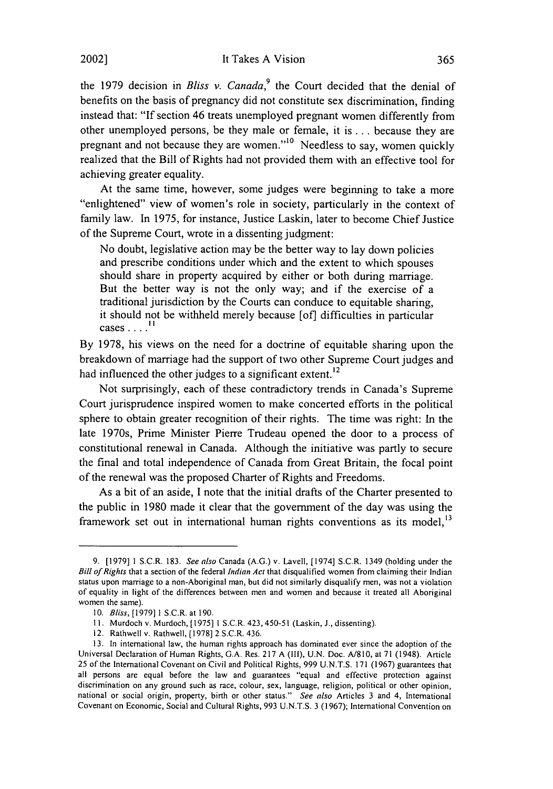the 1979 decision in *Bliss v. Canada*,<sup>9</sup> the Court decided that the denial of benefits on the basis of pregnancy did not constitute sex discrimination, finding instead that: "If section 46 treats unemployed pregnant women differently from other unemployed persons, be they male or female, it is ... because they are pregnant and not because they are women."<sup>10</sup> Needless to say, women quickly realized that the Bill of Rights had not provided them with an effective tool for achieving greater equality.

At the same time, however, some judges were beginning to take a more "enlightened" view of women's role in society, particularly in the context of family law. In 1975, for instance, Justice Laskin, later to become Chief Justice of the Supreme Court, wrote in a dissenting judgment:

No doubt, legislative action may be the better way to lay down policies and prescribe conditions under which and the extent to which spouses should share in property acquired by either or both during marriage. But the better way is not the only way; and if the exercise of a traditional jurisdiction by the Courts can conduce to equitable sharing, it should not be withheld merely because [of] difficulties in particular cases  $\ldots$ <sup>11</sup>

By 1978, his views on the need for a doctrine of equitable sharing upon the breakdown of marriage had the support of two other Supreme Court judges and had influenced the other judges to a significant extent.<sup>12</sup>

Not surprisingly, each of these contradictory trends in Canada's Supreme Court jurisprudence inspired women to make concerted efforts in the political sphere to obtain greater recognition of their rights. The time was right: In the late 1970s, Prime Minister Pierre Trudeau opened the door to a process of constitutional renewal in Canada. Although the initiative was partly to secure the final and total independence of Canada from Great Britain, the focal point of the renewal was the proposed Charter of Rights and Freedoms.

As a bit of an aside, I note that the initial drafts of the Charter presented to the public in 1980 made it clear that the government of the day was using the framework set out in international human rights conventions as its model, $<sup>13</sup>$ </sup>

<sup>9.</sup> [1979] 1 S.C.R. 183. See also Canada (A.G.) v. Lavell, [1974] S.C.R. 1349 (holding under the *Bill of Rights* that a section of the federal *Indian Act* that disqualified women from claiming their Indian status upon marriage to a non-Aboriginal man, but did not similarly disqualify men, was not a violation of equality in light of the differences between men and women and because it treated all Aboriginal women the same).

<sup>10.</sup> Bliss, [1979] 1 S.C.R. at 190.

**<sup>11.</sup>** Murdoch v. Murdoch, [1975] 1 S.C.R. 423,450-51 (Laskin, J., dissenting).

<sup>12.</sup> Rathwell v. Rathwell, [1978] 2 S.C.R. 436.

<sup>13.</sup> In international law, the human rights approach has dominated ever since the adoption of the Universal Declaration of Human Rights, G.A. Res. 217 A (Ill), U.N. Doc. A/810, at 71 (1948). Article 25 of the International Covenant on Civil and Political Rights, 999 U.N.T.S. 171 (1967) guarantees that all persons are equal before the law and guarantees "equal and effective protection against discrimination on any ground such as race, colour, sex, language, religion, political or other opinion, national or social origin, property, birth or other status." *See also* Articles 3 and 4, International Covenant on Economic, Social and Cultural Rights, 993 **U.N.T.S.** 3 (1967); International Convention on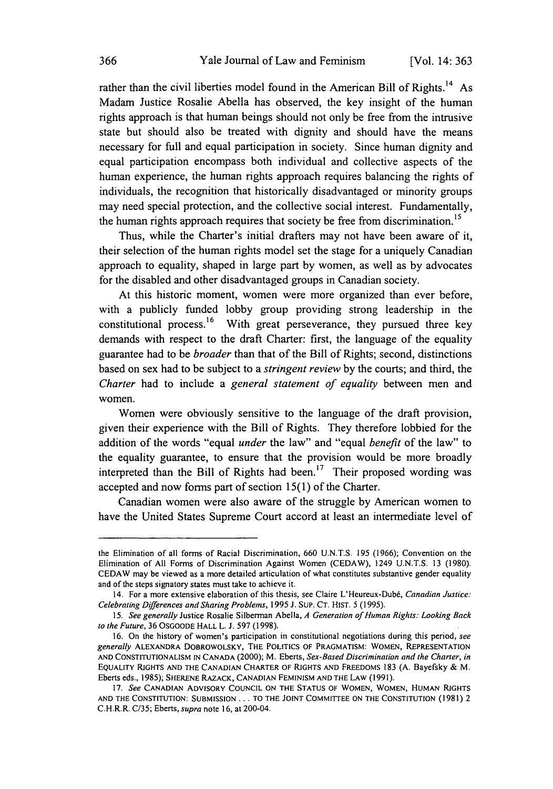rather than the civil liberties model found in the American Bill of Rights.<sup>14</sup> As Madam Justice Rosalie Abella has observed, the key insight of the human rights approach is that human beings should not only be free from the intrusive state but should also be treated with dignity and should have the means necessary for full and equal participation in society. Since human dignity and equal participation encompass both individual and collective aspects of the human experience, the human rights approach requires balancing the rights of individuals, the recognition that historically disadvantaged or minority groups may need special protection, and the collective social interest. Fundamentally, the human rights approach requires that society be free from discrimination.<sup>15</sup>

Thus, while the Charter's initial drafters may not have been aware of it, their selection of the human rights model set the stage for a uniquely Canadian approach to equality, shaped in large part by women, as well as by advocates for the disabled and other disadvantaged groups in Canadian society.

At this historic moment, women were more organized than ever before, with a publicly funded lobby group providing strong leadership in the constitutional process.<sup>16</sup> With great perseverance, they pursued three key demands with respect to the draft Charter: first, the language of the equality guarantee had to be *broader* than that of the Bill of Rights; second, distinctions based on sex had to be subject to a *stringent review* by the courts; and third, the *Charter* had to include a *general statement of equality* between men and women.

Women were obviously sensitive to the language of the draft provision, given their experience with the Bill of Rights. They therefore lobbied for the addition of the words "equal *under* the law" and "equal *benefit* of the law" to the equality guarantee, to ensure that the provision would be more broadly interpreted than the Bill of Rights had been.<sup>17</sup> Their proposed wording was accepted and now forms part of section 15(1) of the Charter.

Canadian women were also aware of the struggle by American women to have the United States Supreme Court accord at least an intermediate level of

the Elimination of all forms of Racial Discrimination, 660 U.N.T.S. 195 (1966); Convention on the Elimination of All Forms of Discrimination Against Women (CEDAW), 1249 U.N.T.S. 13 (1980). CEDAW may be viewed as a more detailed articulation of what constitutes substantive gender equality and of the steps signatory states must take to achieve it.

<sup>14.</sup> For a more extensive elaboration of this thesis, see Claire L'Heureux-Dubd, *Canadian Justice:* Celebrating *Differences* and Sharing Problems, 1995 J. SuP. CT. HIST. 5 (1995).

**<sup>15.</sup>** See generally Justice Rosalie Silberman Abella, *A* Generation of Human Rights: Looking Back to the Future, 36 OSGOODE HALL L. J. 597 (1998).

<sup>16.</sup> On the history of women's participation in constitutional negotiations during this period, see generally ALEXANDRA DOBROWOLSKY, THE POLITICS **OF** PRAGMATISM: WOMEN, REPRESENTATION **AND CONSTITUTIONALISM IN CANADA** (2000); M. Eberts, Sex-Based Discrimination and the Charter, in **EQUALITY** RIGHTS **AND** THE **CANADIAN** CHARTER OF **RIGHTS AND** FREEDOMS 183 **(A.** Bayefsky & M. Eberts eds., 1985); **SHERENE** RAZACK, **CANADIAN FEMINISM AND** THE LAW **(1991).**

**<sup>17.</sup>** See **CANADIAN** ADVISORY **COUNCIL ON** THE **STATUS** OF WOMEN, WOMEN, **HUMAN** RIGHTS **AND** THE **CONSTITUTION: SUBMISSION** ... TO THE **JOINT** COMMITTEE **ON** THE **CONSTITUTION (1981)** 2 C.H.R.R. C/35; Eberts, supra note 16, at 200-04.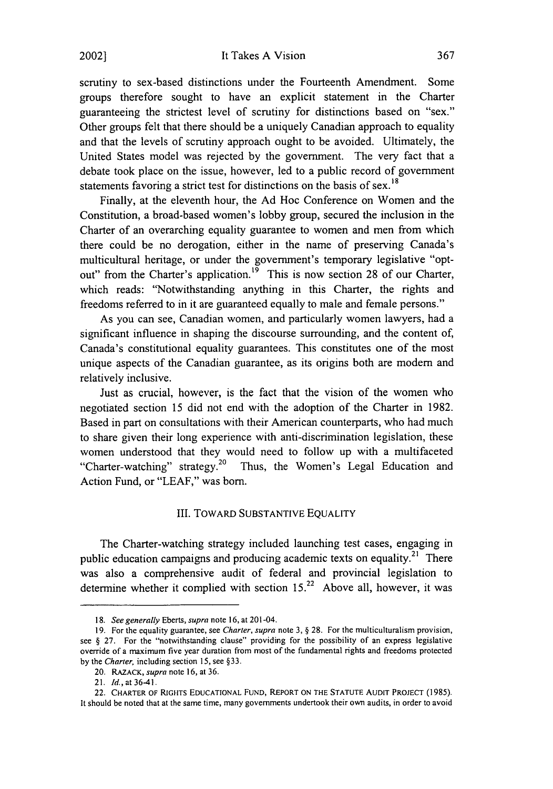scrutiny to sex-based distinctions under the Fourteenth Amendment. Some groups therefore sought to have an explicit statement in the Charter guaranteeing the strictest level of scrutiny for distinctions based on "sex." Other groups felt that there should be a uniquely Canadian approach to equality and that the levels of scrutiny approach ought to be avoided. Ultimately, the United States model was rejected by the government. The very fact that a debate took place on the issue, however, led to a public record of government statements favoring a strict test for distinctions on the basis of sex.<sup>18</sup>

Finally, at the eleventh hour, the Ad Hoc Conference on Women and the Constitution, a broad-based women's lobby group, secured the inclusion in the Charter of an overarching equality guarantee to women and men from which there could be no derogation, either in the name of preserving Canada's multicultural heritage, or under the government's temporary legislative "optout" from the Charter's application.<sup>19</sup> This is now section 28 of our Charter, which reads: "Notwithstanding anything in this Charter, the rights and freedoms referred to in it are guaranteed equally to male and female persons."

As you can see, Canadian women, and particularly women lawyers, had a significant influence in shaping the discourse surrounding, and the content of, Canada's constitutional equality guarantees. This constitutes one of the most unique aspects of the Canadian guarantee, as its origins both are modem and relatively inclusive.

Just as crucial, however, is the fact that the vision of the women who negotiated section 15 did not end with the adoption of the Charter in 1982. Based in part on consultations with their American counterparts, who had much to share given their long experience with anti-discrimination legislation, these women understood that they would need to follow up with a multifaceted "Charter-watching" strategy.<sup>20</sup> Thus, the Women's Legal Education and Action Fund, or "LEAF," was born.

#### III. TOWARD SUBSTANTIVE EQUALITY

The Charter-watching strategy included launching test cases, engaging in public education campaigns and producing academic texts on equality.<sup>21</sup> There was also a comprehensive audit of federal and provincial legislation to determine whether it complied with section  $15.<sup>22</sup>$  Above all, however, it was

<sup>18.</sup> See generally Eberts, supra note 16, at 201-04.

<sup>19.</sup> For the equality guarantee, see Charter, supra note  $3, § 28$ . For the multiculturalism provision, see § 27. For the "notwithstanding clause" providing for the possibility of an express legislative override of a maximum five year duration from most of the fundamental rights and freedoms protected by the Charter, including section 15, see §33.

<sup>20.</sup> RAZACK, supra note 16, at **36.**

<sup>21.</sup> *Id.*, at 36-41.

<sup>22.</sup> CHARTER OF RIGHTS EDUCATIONAL FUND, REPORT ON THE STATUTE AUDIT PROJECT (1985). It should be noted that at the same time, many governments undertook their own audits, in order to avoid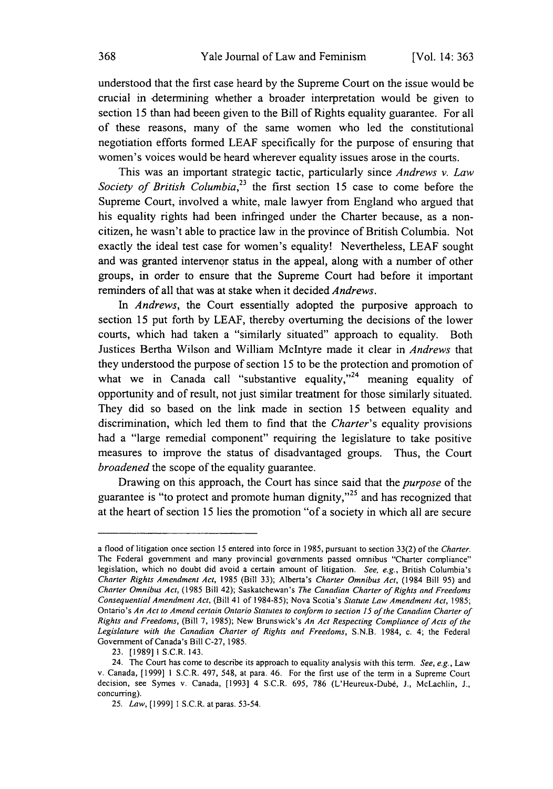understood that the first case heard by the Supreme Court on the issue would be crucial in determining whether a broader interpretation would be given to section 15 than had beeen given to the Bill of Rights equality guarantee. For all of these reasons, many of the same women who led the constitutional negotiation efforts formed LEAF specifically for the purpose of ensuring that women's voices would be heard wherever equality issues arose in the courts.

This was an important strategic tactic, particularly since *Andrews v. Law Society of British Columbia*<sup>23</sup> the first section 15 case to come before the Supreme Court, involved a white, male lawyer from England who argued that his equality rights had been infringed under the Charter because, as a noncitizen, he wasn't able to practice law in the province of British Columbia. Not exactly the ideal test case for women's equality! Nevertheless, LEAF sought and was granted intervenor status in the appeal, along with a number of other groups, in order to ensure that the Supreme Court had before it important reminders of all that was at stake when it decided *Andrews.*

In *Andrews,* the Court essentially adopted the purposive approach to section 15 put forth by LEAF, thereby overturning the decisions of the lower courts, which had taken a "similarly situated" approach to equality. Both Justices Bertha Wilson and William McIntyre made it clear in *Andrews* that they understood the purpose of section 15 to be the protection and promotion of what we in Canada call "substantive equality,"<sup>24</sup> meaning equality of opportunity and of result, not just similar treatment for those similarly situated. They did so based on the link made in section 15 between equality and discrimination, which led them to find that the *Charter's* equality provisions had a "large remedial component" requiring the legislature to take positive measures to improve the status of disadvantaged groups. Thus, the Court *broadened* the scope of the equality guarantee.

Drawing on this approach, the Court has since said that the *purpose* of the guarantee is "to protect and promote human dignity,"<sup>25</sup> and has recognized that at the heart of section 15 lies the promotion "of a society in which all are secure

a flood of litigation once section 15 entered into force in 1985, pursuant to section 33(2) of the Charter. The Federal government and many provincial governments passed omnibus "Charter compliance" legislation, which no doubt did avoid a certain amount of litigation. See, e.g., British Columbia's Charter Rights Amendment Act, 1985 (Bill 33); Alberta's Charter Omnibus Act, (1984 Bill 95) and Charter Omnibus Act, (1985 Bill 42); Saskatchewan's The Canadian Charter of Rights and Freedoms Consequential Amendment Act, (Bill 41 of 1984-85); Nova Scotia's Statute Law Amendment Act, 1985; Ontario's An Act to Amend certain Ontario Statutes to conform to section **15** of the Canadian Charter of Rights and Freedoms, (Bill 7, 1985); New Brunswick's An Act Respecting Compliance of Acts of the Legislature with the Canadian Charter of Rights and Freedoms, S.N.B. 1984, c. 4; the Federal Government of Canada's Bill C-27, 1985.

<sup>23. [198911</sup> S.C.R. 143.

<sup>24.</sup> The Court has come to describe its approach to equality analysis with this term. See, e.g., Law v. Canada, [1999] 1 **S.C.R.** 497, 548, at para. 46. For the first use of the term in a Supreme Court decision, see Symes v. Canada, [1993] 4 S.C.R. 695, 786 (L'Heureux-Dubé, J., McLachlin, J., concurring).

<sup>25.</sup> Law, [1999] **I** S.C.R. atparas. 53-54.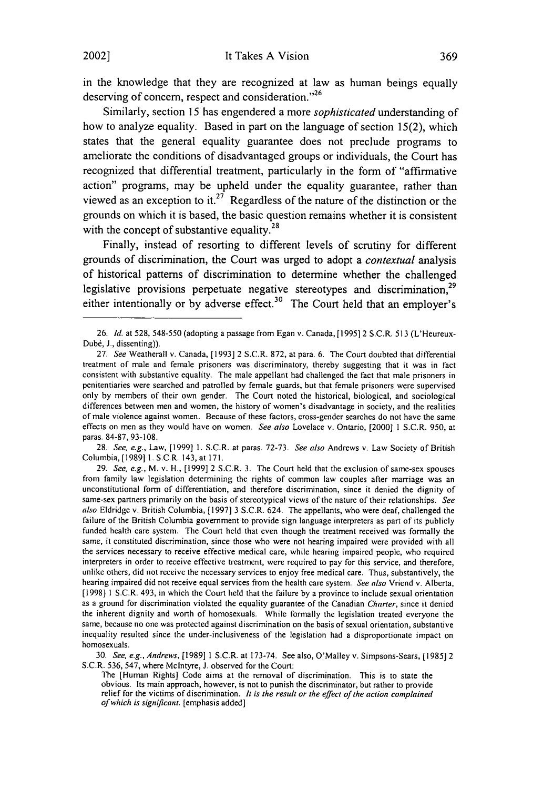in the knowledge that they are recognized at law as human beings equally deserving of concern, respect and consideration.<sup>126</sup>

Similarly, section 15 has engendered a more *sophisticated* understanding of how to analyze equality. Based in part on the language of section 15(2), which states that the general equality guarantee does not preclude programs to ameliorate the conditions of disadvantaged groups or individuals, the Court has recognized that differential treatment, particularly in the form of "affirmative action" programs, may be upheld under the equality guarantee, rather than viewed as an exception to it.<sup>27</sup> Regardless of the nature of the distinction or the grounds on which it is based, the basic question remains whether it is consistent with the concept of substantive equality. $^{28}$ 

Finally, instead of resorting to different levels of scrutiny for different grounds of discrimination, the Court was urged to adopt a *contextual* analysis of historical patterns of discrimination to determine whether the challenged legislative provisions perpetuate negative stereotypes and discrimination,<sup>29</sup> either intentionally or by adverse effect.<sup>30</sup> The Court held that an employer's

28. See, e.g., Law, [1999] 1. S.C.R. at paras. 72-73. See also Andrews v. Law Society of British Columbia, [1989] 1. S.C.R. 143, at 171.

30. See, e.g., Andrews, [1989] 1 S.C.R. at 173-74. See also, O'Malley v. Simpsons-Sears, [1985] 2 S.C.R. 536, 547, where McIntyre, J. observed for the Court:

<sup>26.</sup> *Id.* at 528, 548-550 (adopting a passage from Egan v. Canada,[1995] 2 S.C.R. 513 (L'Heureux-Dubé, J., dissenting)).

<sup>27.</sup> See Weatherall v. Canada, [1993] 2 S.C.R. 872, at para. 6. The Court doubted that differential treatment of male and female prisoners was discriminatory, thereby suggesting that it was in fact consistent with substantive equality. The male appellant had challenged the fact that male prisoners in penitentiaries were searched and patrolled by female guards, but that female prisoners were supervised only by members of their own gender. The Court noted the historical, biological, and sociological differences between men and women, the history of women's disadvantage in society, and the realities of male violence against women. Because of these factors, cross-gender searches do not have the same effects on men as they would have on women. See also Lovelace v. Ontario, [2000] 1 S.C.R. 950, at paras. 84-87, 93-108.

<sup>29.</sup> See, e.g., M. v. H., [1999] 2 S.C.R. 3. The Court held that the exclusion of same-sex spouses from family law legislation determining the rights of common law couples after marriage was an unconstitutional form of differentiation, and therefore discrimination, since it denied the dignity of same-sex partners primarily on the basis of stereotypical views of the nature of their relationships. See also Eldridge v. British Columbia, [1997] 3 S.C.R. 624. The appellants, who were deaf, challenged the failure of the British Columbia government to provide sign language interpreters as part of its publicly funded health care system. The Court held that even though the treatment received was formally the same, it constituted discrimination, since those who were not hearing impaired were provided with all the services necessary to receive effective medical care, while hearing impaired people, who required interpreters in order to receive effective treatment, were required to pay for this service, and therefore, unlike others, did not receive the necessary services to enjoy free medical care. Thus, substantively, the hearing impaired did not receive equal services from the health care system. See also Vriend v. Alberta, [1998] 1 S.C.R. 493, in which the Court held that the failure by a province to include sexual orientation as a ground for discrimination violated the equality guarantee of the Canadian Charter, since it denied the inherent dignity and worth of homosexuals. While formally the legislation treated everyone the same, because no one was protected against discrimination on the basis of sexual orientation, substantive inequality resulted since the under-inclusiveness of the legislation had a disproportionate impact on homosexuals.

The [Human Rights] Code aims at the removal of discrimination. This is to state the obvious. Its main approach, however, is not to punish the discriminator, but rather to provide relief for the victims of discrimination. It is the result or the effect of the action complained *of* which is significant. [emphasis added]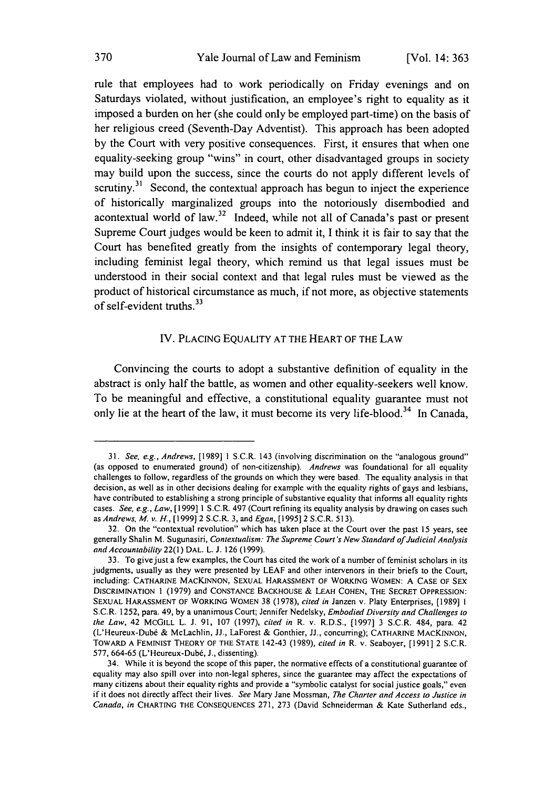rule that employees had to work periodically on Friday evenings and on Saturdays violated, without justification, an employee's right to equality as it imposed a burden on her (she could only be employed part-time) on the basis of her religious creed (Seventh-Day Adventist). This approach has been adopted by the Court with very positive consequences. First, it ensures that when one equality-seeking group "wins" in court, other disadvantaged groups in society may build upon the success, since the courts do not apply different levels of scrutiny.<sup>31</sup> Second, the contextual approach has begun to inject the experience of historically marginalized groups into the notoriously disembodied and acontextual world of law.<sup>32</sup> Indeed, while not all of Canada's past or present Supreme Court judges would be keen to admit it, I think it is fair to say that the Court has benefited greatly from the insights of contemporary legal theory, including feminist legal theory, which remind us that legal issues must be understood in their social context and that legal rules must be viewed as the product of historical circumstance as much, if not more, as objective statements of self-evident truths. <sup>33</sup>

#### IV. PLACING EQUALITY AT THE HEART OF THE LAW

Convincing the courts to adopt a substantive definition of equality in the abstract is only half the battle, as women and other equality-seekers well know. To be meaningful and effective, a constitutional equality guarantee must not only lie at the heart of the law, it must become its very life-blood.<sup>34</sup> In Canada,

<sup>31.</sup> *See, e.g., Andrews,* [1989] 1 S.C.R. 143 (involving discrimination on the "analogous ground" (as opposed to enumerated ground) of non-citizenship). *Andrews* was foundational for all equality challenges to follow, regardless of the grounds on which they were based. The equality analysis in that decision, as well as in other decisions dealing for example with the equality rights of gays and lesbians, have contributed to establishing a strong principle of substantive equality that informs all equality rights cases. *See, e.g., Law,* [1999] 1 S.C.R. 497 (Court refining its equality analysis by drawing on cases such as Andrews, M. v. H., [1999] 2 S.C.R. 3, and Egan, [1995] 2 S.C.R. 513).

<sup>32.</sup> On the "contextual revolution" which has taken place at the Court over the past 15 years, see generally Shalin M. Sugunasiri, *Contextualism: The* Supreme Court's New Standard of Judicial Analysis and Accountability 22(1) DAL. L. J. 126 (1999).

<sup>33.</sup> To give just a few examples, the Court has cited the work of a number of feminist scholars in its judgments, usually as they were presented by LEAF and other intervenors in their briefs to the Court, including: **CATHARINE** MACKINNON, **SEXUAL** HARASSMENT OF WORKING WOMEN: A CASE OF SEX DISCRIMINATION 1 (1979) and **CONSTANCE BACKHOUSE** & **LEAH COHEN,** THE SECRET **OPPRESSION: SEXUAL HARASSMENT OF** WORKING WOMEN 38 (1978), *cited* in Janzen v. Platy Enterprises, [1989] **1** S.C.R. 1252, para. 49, by a unanimous Court; Jennifer Nedelsky, Embodied Diversity and Challenges to the Law, 42 MCGILL L. J. 91, 107 (1997), cited in R. v. R.D.S., **[1997]** 3 S.C.R. 484, para. 42 (L'Heureux-Dubd & McLachlin, JJ., LaForest & Gonthier, JJ., concurring); **CATHARINE** MACKINNON, TOWARD **A FEMINIST** THEORY OF THE **STATE** 142-43 (1989), cited in R. v. Seaboyer, [1991] 2 S.C.R. 577, 664-65 (L'Heureux-Dubé, J., dissenting).

<sup>34.</sup> While it is beyond the scope of this paper, the normative effects of a constitutional guarantee of equality may also spill over into non-legal spheres, since the guarantee may affect the expectations of many citizens about their equality rights and provide a "symbolic catalyst for social justice goals," even if it does not directly affect their lives. *See* Mary Jane Mossman, *The* Charter and Access to Justice in *Canada,* in CHARTING THE CONSEQUENCES 271, 273 (David Schneiderman & Kate Sutherland eds.,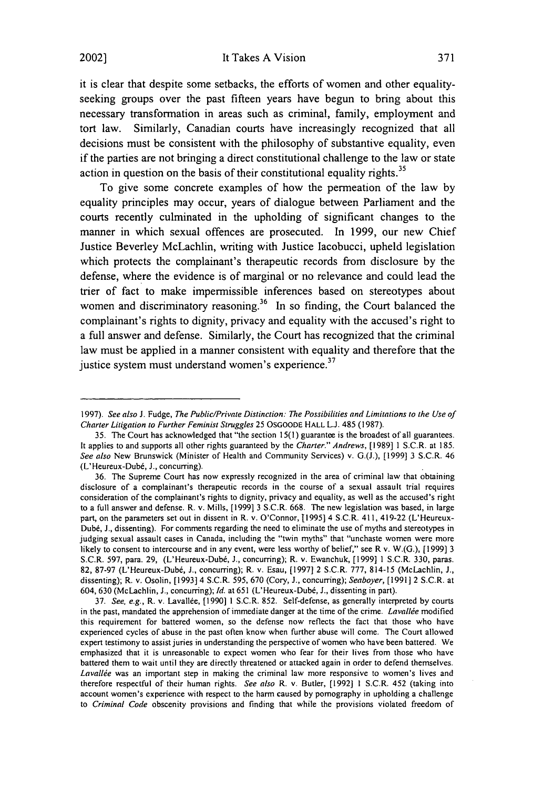#### 2002] It Takes A Vision

it is clear that despite some setbacks, the efforts of women and other equalityseeking groups over the past fifteen years have begun to bring about this necessary transformation in areas such as criminal, family, employment and tort law. Similarly, Canadian courts have increasingly recognized that all decisions must be consistent with the philosophy of substantive equality, even if the parties are not bringing a direct constitutional challenge to the law or state action in question on the basis of their constitutional equality rights.<sup>35</sup>

To give some concrete examples of how the permeation of the law by equality principles may occur, years of dialogue between Parliament and the courts recently culminated in the upholding of significant changes to the manner in which sexual offences are prosecuted. In 1999, our new Chief Justice Beverley McLachlin, writing with Justice lacobucci, upheld legislation which protects the complainant's therapeutic records from disclosure by the defense, where the evidence is of marginal or no relevance and could lead the trier of fact to make impermissible inferences based on stereotypes about women and discriminatory reasoning.<sup>36</sup> In so finding, the Court balanced the complainant's rights to dignity, privacy and equality with the accused's right to a full answer and defense. Similarly, the Court has recognized that the criminal law must be applied in a manner consistent with equality and therefore that the justice system must understand women's experience.<sup>37</sup>

37. See. e.g., R. v. Lavallee, [1990] 1 S.C.R. 852. Self-defense, as generally interpreted by courts in the past, mandated the apprehension of immediate danger at the time of the crime. Lavallée modified this requirement for battered women, so the defense now reflects the fact that those who have experienced cycles of abuse in the past often know when further abuse will come. The Court allowed expert testimony to assist juries in understanding the perspective of women who have been battered. We emphasized that it is unreasonable to expect women who fear for their lives from those who have battered them to wait until they are directly threatened or attacked again in order to defend themselves. Lavallée was an important step in making the criminal law more responsive to women's lives and therefore respectful of their human rights. See also R. v. Butler, [1992] **1** S.C.R. 452 (taking into account women's experience with respect to the harm caused by pornography in upholding a challenge to Criminal Code obscenity provisions and finding that while the provisions violated freedom of

<sup>1997).</sup> See also J. Fudge, The Public/Private Distinction: The Possibilities and Limitations to the Use of Charter Litigation to Further Feminist Struggles 25 OSGOODE HALL **L.J.** 485 (1987).

<sup>35.</sup> The Court has acknowledged that "the section 15(1) guarantee is the broadest of all guarantees. It applies to and supports all other rights guaranteed by the Charter." Andrews, [1989] 1 S.C.R. at 185. See also New Brunswick (Minister of Health and Community Services) v. G.(J.), [1999] 3 S.C.R. 46 (L'Heureux-Dubd, **J.,** concurring).

<sup>36.</sup> The Supreme Court has now expressly recognized in the area of criminal law that obtaining disclosure of a complainant's therapeutic records in the course of a sexual assault trial requires consideration of the complainant's rights to dignity, privacy and equality, as well as the accused's right to a full answer and defense. R. v. Mills, [1999] 3 S.C.R. 668. The new legislation was based, in large part, on the parameters set out in dissent in R. v. O'Connor, 11995] 4 S.C.R. 411, 419-22 (L'Heureux-Dubé, J., dissenting). For comments regarding the need to eliminate the use of myths and stereotypes in judging sexual assault cases in Canada, including the "twin myths" that "unchaste women were more likely to consent to intercourse and in any event, were less worthy of belief," see R v. W.(G.),  $[1999]$  3 S.C.R. 597, para. 29, (L'Heureux-Dub6, **J.,** concurring); R. v. Ewanchuk, [1999] 1 S.C.R. 330, paras. 82, 87-97 (L'Heureux-Dubé, J., concurring); R. v. Esau, [1997] 2 S.C.R. 777, 814-15 (McLachlin, J., dissenting); R. v. Osolin, [1993] 4 S.C.R. 595, 670 (Cory, J., concurring); Seaboyer, [1991] 2 S.C.R. at 604, 630 (McLachlin, J., concurring); Id. at 651 (L'Heureux-Dubé, J., dissenting in part).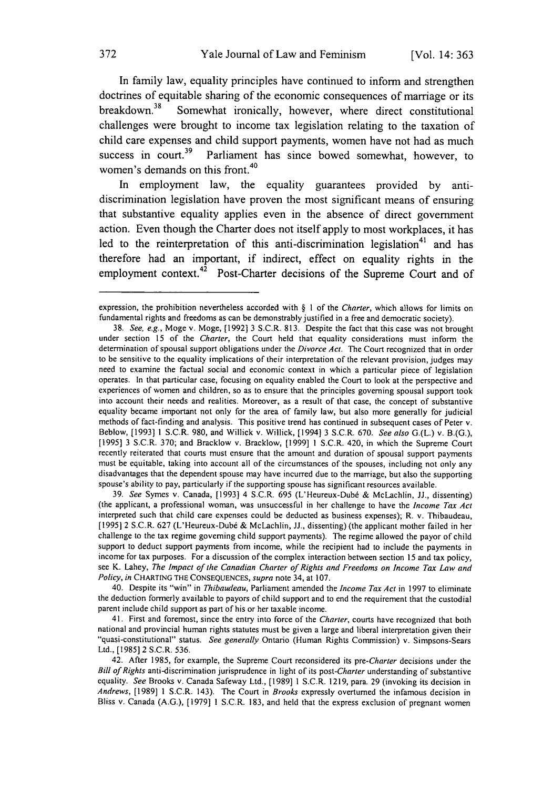In family law, equality principles have continued to inform and strengthen doctrines of equitable sharing of the economic consequences of marriage or its breakdown. $38$  Somewhat ironically, however, where direct constitutional challenges were brought to income tax legislation relating to the taxation of child care expenses and child support payments, women have not had as much<br>success in court.<sup>39</sup> Parliament has since bowed somewhat however to Parliament has since bowed somewhat, however, to women's demands on this front.<sup>40</sup>

In employment law, the equality guarantees provided by antidiscrimination legislation have proven the most significant means of ensuring that substantive equality applies even in the absence of direct government action. Even though the Charter does not itself apply to most workplaces, it has led to the reinterpretation of this anti-discrimination legislation<sup>41</sup> and has therefore had an important, if indirect, effect on equality rights in the employment context.<sup>42</sup> Post-Charter decisions of the Supreme Court and of

39. See Symes v. Canada, [1993] 4 S.C.R. 695 (L'Heureux-Dub6 & McLachlin, **JJ.,** dissenting) (the applicant, a professional woman, was unsuccessful in her challenge to have the *Income Tax Act* interpreted such that child care expenses could be deducted as business expenses); R. v. Thibaudeau, [19951 2 S.C.R. 627 (L'Heureux-Dub6 & McLachlin, JJ., dissenting) (the applicant mother failed in her challenge to the tax regime governing child support payments). The regime allowed the payor of child support to deduct support payments from income, while the recipient had to include the payments in income for tax purposes. For a discussion of the complex interaction between section 15 and tax policy, see K. Lahey, *The Impact of the* Canadian Charter of *Rights* and Freedoms on Income Tax Law and Policy, in CHARTING THE CONSEQUENCES, supra note 34, at 107.

40. Despite its "win" in Thibaudeau, Parliament amended the Income Tax Act in 1997 to eliminate the deduction formerly available to payors of child support and to end the requirement that the custodial parent include child support as part of his or her taxable income.

41. First and foremost, since the entry into force of the Charter, courts have recognized that both national and provincial human rights statutes must be given a large and liberal interpretation given their "quasi-constitutional" status. See generally Ontario (Human Rights Commission) v. Simpsons-Sears Ltd., [1985] 2 S.C.R. 536.

42. After 1985, for example, the Supreme Court reconsidered its pre-Charter decisions under the Bill of Rights anti-discrimination jurisprudence in light of its *post-Charter* understanding of substantive equality. See Brooks v. Canada Safeway Ltd., [1989] 1 S.C.R. 1219, para. 29 (invoking its decision in *Andrews,* [1989] 1 S.C.R. 143). The Court in Brooks expressly overturned the infamous decision in Bliss v. Canada (A.G.), [1979] 1 S.C.R. 183, and held that the express exclusion of pregnant women

expression, the prohibition nevertheless accorded with § **I** of the Charter, which allows for limits on fundamental rights and freedoms as can be demonstrably justified in a free and democratic society).

<sup>38.</sup> See, e.g., Moge v. Moge, [1992] 3 S.C.R. 813. Despite the fact that this case was not brought under section 15 of the Charter, the Court held that equality considerations must inform the determination of spousal support obligations under the Divorce Act. The Court recognized that in order to be sensitive to the equality implications of their interpretation of the relevant provision, judges may need to examine the factual social and economic context in which a particular piece of legislation operates. In that particular case, focusing on equality enabled the Court to look at the perspective and experiences of women and children, so as to ensure that the principles governing spousal support took into account their needs and realities. Moreover, as a result of that case, the concept of substantive equality became important not only for the area of family law, but also more generally for judicial methods of fact-finding and analysis. This positive trend has continued in subsequent cases of Peter v. Beblow, [19931 1 S.C.R. 980, and Willick v. Willick, [1994] 3 S.C.R. 670. See also G.(L.) v. B.(G.), [19951 3 S.C.R. 370; and Bracklow v. Bracklow, [1999] 1 S.C.R. 420, in which the Supreme Court recently reiterated that courts must ensure that the amount and duration of spousal support payments must be equitable, taking into account all of the circumstances of the spouses, including not only any disadvantages that the dependent spouse may have incurred due to the marriage, but also the supporting spouse's ability to pay, particularly if the supporting spouse has significant resources available.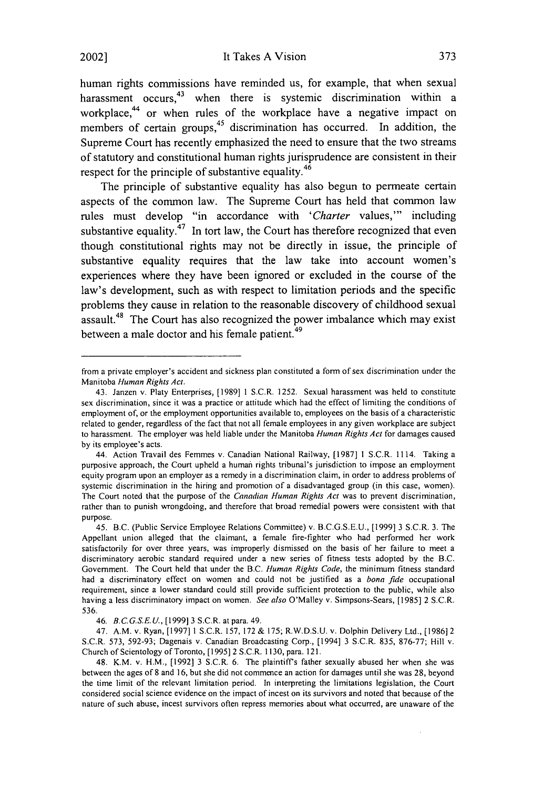It Takes A Vision

human rights commissions have reminded us, for example, that when sexual harassment occurs,<sup>43</sup> when there is systemic discrimination within a workplace,<sup>44</sup> or when rules of the workplace have a negative impact on members of certain groups,<sup>45</sup> discrimination has occurred. In addition, the Supreme Court has recently emphasized the need to ensure that the two streams of statutory and constitutional human rights jurisprudence are consistent in their respect for the principle of substantive equality.<sup>46</sup>

The principle of substantive equality has also begun to permeate certain aspects of the common law. The Supreme Court has held that common law rules must develop "in accordance with *'Charter* values,"' including substantive equality.<sup>47</sup> In tort law, the Court has therefore recognized that even though constitutional rights may not be directly in issue, the principle of substantive equality requires that the law take into account women's experiences where they have been ignored or excluded in the course of the law's development, such as with respect to limitation periods and the specific problems they cause in relation to the reasonable discovery of childhood sexual assault.<sup>48</sup> The Court has also recognized the power imbalance which may exist between a male doctor and his female patient.<sup>49</sup>

from a private employer's accident and sickness plan constituted a form of sex discrimination under the Manitoba *Human* Rights Act.

<sup>43.</sup> Janzen v. Platy Enterprises, [1989] 1 S.C.R. 1252. Sexual harassment was held to constitute sex discrimination, since it was a practice or attitude which had the effect of limiting the conditions of employment of, or the employment opportunities available to, employees on the basis of a characteristic related to gender, regardless of the fact that not all female employees in any given workplace are subject to harassment. The employer was held liable under the Manitoba Human Rights Act for damages caused by its employee's acts.

<sup>44.</sup> Action Travail des Femmes v. Canadian National Railway, [1987] 1 S.C.R. 1114. Taking a purposive approach, the Court upheld a human rights tribunal's jurisdiction to impose an employment equity program upon an employer as a remedy in a discrimination claim, in order to address problems of systemic discrimination in the hiring and promotion of a disadvantaged group (in this case, women). The Court noted that the purpose of the Canadian Human Rights Act was to prevent discrimination, rather than to punish wrongdoing, and therefore that broad remedial powers were consistent with that purpose.

<sup>45.</sup> B.C. (Public Service Employee Relations Committee) v. B.C.G.S.E.U., [1999] 3 S.C.R. 3. The Appellant union alleged that the claimant, a female fire-fighter who had performed her work satisfactorily for over three years, was improperly dismissed on the basis of her failure to meet a discriminatory aerobic standard required under a new series of fitness tests adopted by the B.C. Government. The Court held that under the B.C. Human Rights Code, the minimum fitness standard had a discriminatory effect on women and could not be justified as a bona fide occupational requirement, since a lower standard could still provide sufficient protection to the public, while also having a less discriminatory impact on women. See also O'Malley v. Simpsons-Sears, [1985] 2 S.C.R. 536.

<sup>46.</sup> *B.C.G.S.E.U.,* [1999] 3 S.C.R. at para. 49.

<sup>47.</sup> A.M. v. Ryan, [1997] 1 S.C.R. 157, 172 & 175; R.W.D.S.U.v. Dolphin Delivery Ltd., [1986]2 S.C.R. 573, 592-93; Dagenais v. Canadian Broadcasting Corp., [1994] 3 S.C.R. 835, 876-77; Hill v. Church of Scientology of Toronto, [1995] 2 S.C.R. 1130, para. 121.

<sup>48.</sup> K.M. v. H.M., [1992] 3 S.C.R. 6. The plaintiffs father sexually abused her when she was between the ages of 8 and 16, but she did not commence an action for damages until she was 28, beyond the time limit of the relevant limitation period. In interpreting the limitations legislation, the Court considered social science evidence on the impact of incest on its survivors and noted that because of the nature of such abuse, incest survivors often repress memories about what occurred, are unaware of the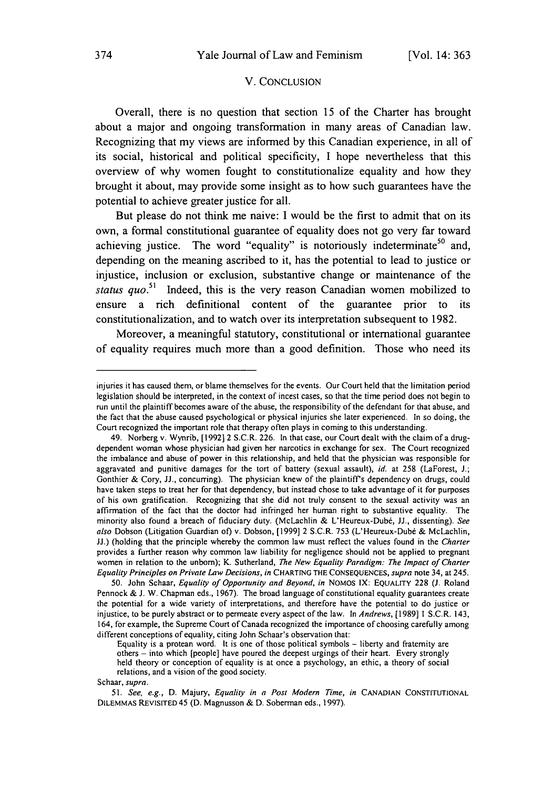#### V. CONCLUSION

Overall, there is no question that section **15** of the Charter has brought about a major and ongoing transformation in many areas of Canadian law. Recognizing that my views are informed **by** this Canadian experience, in all of its social, historical and political specificity, **I** hope nevertheless that this overview of why women fought to constitutionalize equality and how they brought it about, may provide some insight as to how such guarantees have the potential to achieve greater justice for all.

But please do not think me naive: **I** would be the first to admit that on its own, a formal constitutional guarantee of equality does not go very far toward achieving justice. The word "equality" is notoriously indeterminate<sup>50</sup> and. depending on the meaning ascribed to it, has the potential to lead to justice or injustice, inclusion or exclusion, substantive change or maintenance of the *status quo.51* Indeed, this is the very reason Canadian women mobilized to ensure a rich definitional content of the guarantee prior to its constitutionalization, and to watch over its interpretation subsequent to **1982.**

Moreover, a meaningful statutory, constitutional or international guarantee of equality requires much more than a good definition. Those who need its

injuries it has caused them, or blame themselves for the events. Our Court held that the limitation period legislation should be interpreted, in the context of incest cases, so that the time period does not begin to run until the plaintiff becomes aware of the abuse, the responsibility of the defendant for that abuse, and the fact that the abuse caused psychological or physical injuries she later experienced. In so doing, the Court recognized the important role that therapy often plays in coming to this understanding.

<sup>49.</sup> Norberg v. Wynrib, [1992]2 S.C.R. 226. In that case, our Court dealt with the claim of a drugdependent woman whose physician had given her narcotics in exchange for sex. The Court recognized the imbalance and abuse of power in this relationship, and held that the physician was responsible for aggravated and punitive damages for the tort of battery (sexual assault), *id.* at 258 (LaForest, J.; Gonthier & Cory, JJ., concurring). The physician knew of the plaintiff's dependency on drugs, could have taken steps to treat her for that dependency, but instead chose to take advantage of it for purposes of his own gratification. Recognizing that she did not truly consent to the sexual activity was an affirmation of the fact that the doctor had infringed her human right to substantive equality. The minority also found a breach of fiduciary duty. (McLachlin & L'Heureux-Dub&, JJ., dissenting). *See also* Dobson (Litigation Guardian of) v. Dobson, [1999] 2 S.C.R. 753 (L'Heureux-Dubé & McLachlin, JJ.) (holding that the principle whereby the common law must reflect the values found in the *Charter* provides a further reason why common law liability for negligence should not be applied to pregnant women in relation to the unbom); K. Sutherland, *The New Equality Paradigm: The Impact of* Charter *Equality Principles on Private Law Decisions, in* **CHARTING** THE CONSEQUENCES, *supra* note 34, at 245.

<sup>50.</sup> John Schaar, *Equality of Opportunity and Beyond, in* NOMOS **IX:** EQUALITY 228 (J. Roland Pennock & **J.** W. Chapman eds., 1967). The broad language of constitutional equality guarantees create the potential for a wide variety of interpretations, and therefore have the potential to do justice or injustice, to be purely abstract or to permeate every aspect of the law. In *Andrews,* [1989] 1 S.C.R. 143, 164, for example, the Supreme Court of Canada recognized the importance of choosing carefully among different conceptions of equality, citing John Schaar's observation that:

Equality is a protean word. It is one of those political symbols - liberty and fratemity are others **-** into which [people] have poured the deepest urgings of their heart. Every strongly held theory or conception of equality is at once a psychology, an ethic, a theory of social relations, and a vision of the good society.

Schaar, *supra.*

*<sup>51.</sup> See, e.g.,* D. Majury, *Equality in a Post Modern Time, in* **CANADIAN CONSTITUTIONAL** DILEMMAS REVISITED 45 (D. Magnusson & D. Soberman eds., 1997).